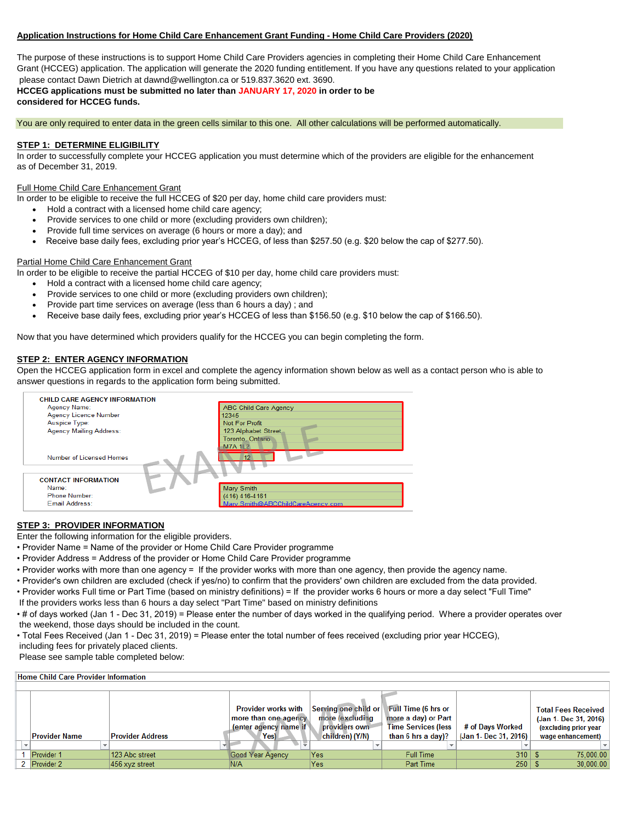# **Application Instructions for Home Child Care Enhancement Grant Funding - Home Child Care Providers (2020)**

The purpose of these instructions is to support Home Child Care Providers agencies in completing their Home Child Care Enhancement Grant (HCCEG) application. The application will generate the 2020 funding entitlement. If you have any questions related to your application please contact Dawn Dietrich at dawnd@wellington.ca or 519.837.3620 ext. 3690.

**HCCEG applications must be submitted no later than JANUARY 17, 2020 in order to be considered for HCCEG funds.** 

You are only required to enter data in the green cells similar to this one. All other calculations will be performed automatically.

# **STEP 1: DETERMINE ELIGIBILITY**

In order to successfully complete your HCCEG application you must determine which of the providers are eligible for the enhancement as of December 31, 2019.

# Full Home Child Care Enhancement Grant

- In order to be eligible to receive the full HCCEG of \$20 per day, home child care providers must:
	- Hold a contract with a licensed home child care agency;
	- Provide services to one child or more (excluding providers own children);
	- Provide full time services on average (6 hours or more a day); and
	- Receive base daily fees, excluding prior year's HCCEG, of less than \$257.50 (e.g. \$20 below the cap of \$277.50).

# Partial Home Child Care Enhancement Grant

In order to be eligible to receive the partial HCCEG of \$10 per day, home child care providers must:

- Hold a contract with a licensed home child care agency;
- Provide services to one child or more (excluding providers own children);
- Provide part time services on average (less than 6 hours a day) ; and
- Receive base daily fees, excluding prior year's HCCEG of less than \$156.50 (e.g. \$10 below the cap of \$166.50).

Now that you have determined which providers qualify for the HCCEG you can begin completing the form.

#### **STEP 2: ENTER AGENCY INFORMATION**

Open the HCCEG application form in excel and complete the agency information shown below as well as a contact person who is able to answer questions in regards to the application form being submitted.

| <b>CHILD CARE AGENCY INFORMATION</b> |                                   |
|--------------------------------------|-----------------------------------|
| Agency Name:                         | <b>ABC Child Care Agency</b>      |
| <b>Agency Licence Number</b>         | 12345                             |
| Auspice Type:                        | Not For Profit                    |
| <b>Agency Mailing Address:</b>       | 123 Alphabet Street               |
|                                      | Toronto, Ontario                  |
|                                      | <b>M7A 1L2</b>                    |
| Number of Licensed Homes             | 12 <sup>1</sup>                   |
|                                      |                                   |
| <b>CONTACT INFORMATION</b>           |                                   |
| Name:                                | Mary Smith                        |
| Phone Number:                        | (416) 416-4161                    |
| Email Address:                       | Mary.Smith@ABCChildCareAgency.com |

# **STEP 3: PROVIDER INFORMATION**

Enter the following information for the eligible providers.

- Provider Name = Name of the provider or Home Child Care Provider programme
- Provider Address = Address of the provider or Home Child Care Provider programme
- Provider works with more than one agency = If the provider works with more than one agency, then provide the agency name.
- Provider's own children are excluded (check if yes/no) to confirm that the providers' own children are excluded from the data provided.
- Provider works Full time or Part Time (based on ministry definitions) = If the provider works 6 hours or more a day select "Full Time"
- If the providers works less than 6 hours a day select "Part Time" based on ministry definitions

• # of days worked (Jan 1 - Dec 31, 2019) = Please enter the number of days worked in the qualifying period. Where a provider operates over the weekend, those days should be included in the count.

• Total Fees Received (Jan 1 - Dec 31, 2019) = Please enter the total number of fees received (excluding prior year HCCEG),

 including fees for privately placed clients. Please see sample table completed below:

| <b>Home Child Care Provider Information</b> |                         |                                                                                      |                                                                             |                                                                                                |                                           |                                                                                                   |
|---------------------------------------------|-------------------------|--------------------------------------------------------------------------------------|-----------------------------------------------------------------------------|------------------------------------------------------------------------------------------------|-------------------------------------------|---------------------------------------------------------------------------------------------------|
|                                             |                         |                                                                                      |                                                                             |                                                                                                |                                           |                                                                                                   |
| <b>Provider Name</b>                        | <b>Provider Address</b> | <b>Provider works with</b><br>more than one agency.<br>lenter agency name if<br>Yes) | Serving one child or<br>more (excluding<br>providers own<br>children) (Y/N) | Full Time (6 hrs or<br>more a day) or Part<br><b>Time Services (less</b><br>than 6 hrs a day)? | # of Days Worked<br>(Jan 1- Dec 31, 2016) | <b>Total Fees Received</b><br>(Jan 1- Dec 31, 2016)<br>(excluding prior year<br>wage enhancement) |
|                                             |                         |                                                                                      |                                                                             |                                                                                                |                                           |                                                                                                   |
| Provider 1                                  | 123 Abc street          | Good Year Agency                                                                     | Yes                                                                         | Full Time                                                                                      | $310$   \$                                | 75,000.00                                                                                         |
| 2 Provider 2                                | $456$ xyz street        | N/A                                                                                  | Yes                                                                         | Part Time                                                                                      |                                           | 30.000.00                                                                                         |